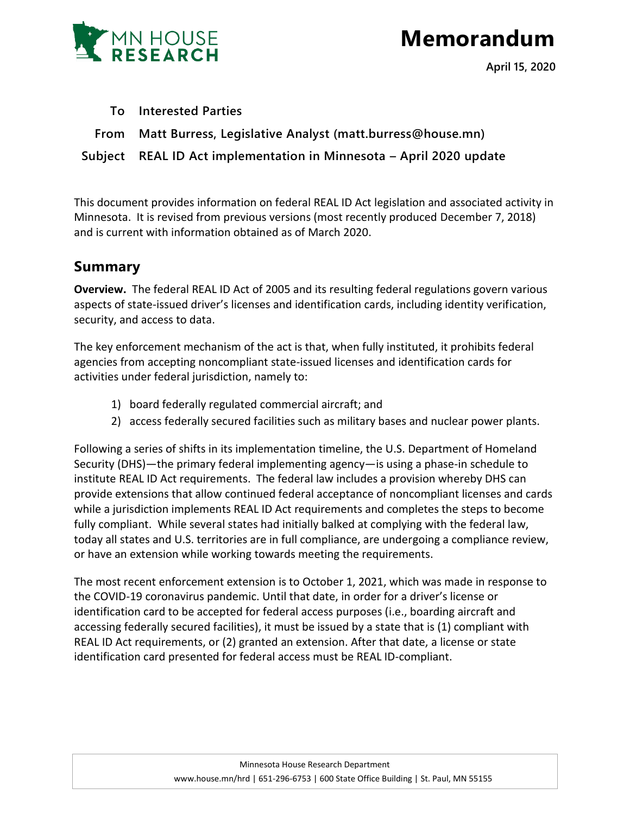

# **Memorandum**

**April 15, 2020**

- **To Interested Parties**
- **From Matt Burress, Legislative Analyst (matt.burress@house.mn)**

**Subject REAL ID Act implementation in Minnesota – April 2020 update**

This document provides information on federal REAL ID Act legislation and associated activity in Minnesota. It is revised from previous versions (most recently produced December 7, 2018) and is current with information obtained as of March 2020.

# **Summary**

**Overview.** The federal REAL ID Act of 2005 and its resulting federal regulations govern various aspects of state-issued driver's licenses and identification cards, including identity verification, security, and access to data.

The key enforcement mechanism of the act is that, when fully instituted, it prohibits federal agencies from accepting noncompliant state-issued licenses and identification cards for activities under federal jurisdiction, namely to:

- 1) board federally regulated commercial aircraft; and
- 2) access federally secured facilities such as military bases and nuclear power plants.

Following a series of shifts in its implementation timeline, the U.S. Department of Homeland Security (DHS)—the primary federal implementing agency—is using a phase-in schedule to institute REAL ID Act requirements. The federal law includes a provision whereby DHS can provide extensions that allow continued federal acceptance of noncompliant licenses and cards while a jurisdiction implements REAL ID Act requirements and completes the steps to become fully compliant. While several states had initially balked at complying with the federal law, today all states and U.S. territories are in full compliance, are undergoing a compliance review, or have an extension while working towards meeting the requirements.

The most recent enforcement extension is to October 1, 2021, which was made in response to the COVID-19 coronavirus pandemic. Until that date, in order for a driver's license or identification card to be accepted for federal access purposes (i.e., boarding aircraft and accessing federally secured facilities), it must be issued by a state that is (1) compliant with REAL ID Act requirements, or (2) granted an extension. After that date, a license or state identification card presented for federal access must be REAL ID-compliant.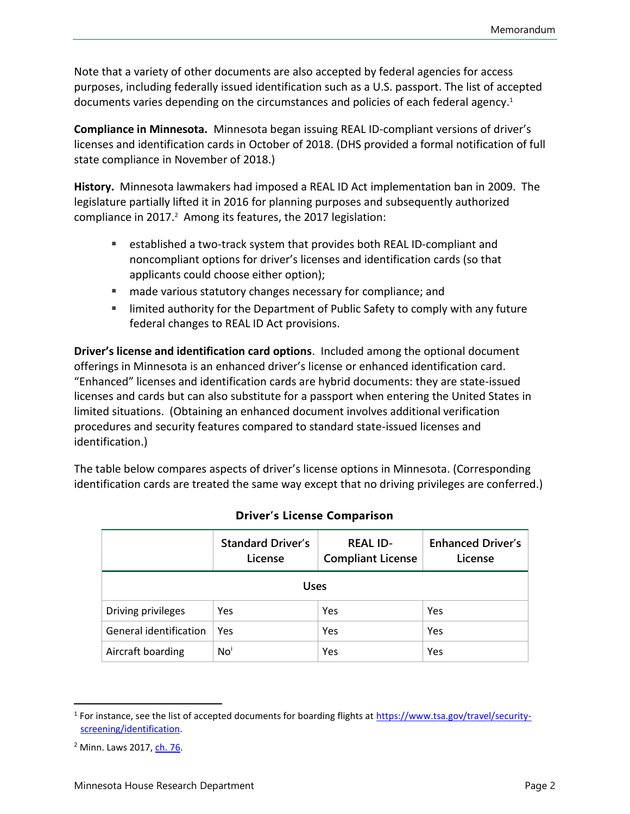Note that a variety of other documents are also accepted by federal agencies for access purposes, including federally issued identification such as a U.S. passport. The list of accepted documents varies depending on the circumstances and policies of each federal agency. 1

**Compliance in Minnesota.** Minnesota began issuing REAL ID-compliant versions of driver's licenses and identification cards in October of 2018. (DHS provided a formal notification of full state compliance in November of 2018.)

**History.** Minnesota lawmakers had imposed a REAL ID Act implementation ban in 2009. The legislature partially lifted it in 2016 for planning purposes and subsequently authorized compliance in 2017.<sup>2</sup> Among its features, the 2017 legislation:

- established a two-track system that provides both REAL ID-compliant and noncompliant options for driver's licenses and identification cards (so that applicants could choose either option);
- **namade various statutory changes necessary for compliance; and**
- **EXT** limited authority for the Department of Public Safety to comply with any future federal changes to REAL ID Act provisions.

**Driver's license and identification card options**. Included among the optional document offerings in Minnesota is an enhanced driver's license or enhanced identification card. "Enhanced" licenses and identification cards are hybrid documents: they are state-issued licenses and cards but can also substitute for a passport when entering the United States in limited situations. (Obtaining an enhanced document involves additional verification procedures and security features compared to standard state-issued licenses and identification.)

The table below compares aspects of driver's license options in Minnesota. (Corresponding identification cards are treated the same way except that no driving privileges are conferred.)

|                        | <b>Standard Driver's</b><br>License | <b>REAL ID-</b><br><b>Compliant License</b> | <b>Enhanced Driver's</b><br>License |  |
|------------------------|-------------------------------------|---------------------------------------------|-------------------------------------|--|
| Uses                   |                                     |                                             |                                     |  |
| Driving privileges     | Yes                                 | Yes                                         | Yes                                 |  |
| General identification | Yes                                 | Yes                                         | Yes                                 |  |
| Aircraft boarding      | No                                  | Yes                                         | Yes                                 |  |

### **Driver's License Comparison**

<sup>&</sup>lt;sup>1</sup> For instance, see the list of accepted documents for boarding flights at [https://www.tsa.gov/travel/security](https://www.tsa.gov/travel/security-screening/identification)[screening/identification.](https://www.tsa.gov/travel/security-screening/identification)

<sup>2</sup> Minn. Laws 2017, [ch. 76.](https://www.revisor.mn.gov/laws/2017/0/Session+Law/Chapter/76/)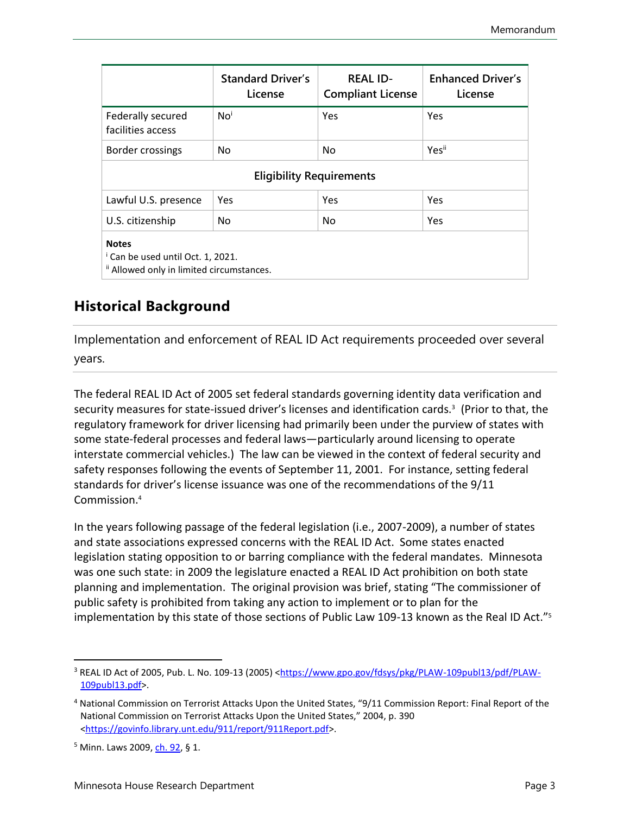|                                                                                                          | <b>Standard Driver's</b><br>License | <b>REAL ID-</b><br><b>Compliant License</b> | <b>Enhanced Driver's</b><br>License |  |
|----------------------------------------------------------------------------------------------------------|-------------------------------------|---------------------------------------------|-------------------------------------|--|
| Federally secured<br>facilities access                                                                   | No <sup>i</sup>                     | Yes                                         | Yes                                 |  |
| Border crossings                                                                                         | No.                                 | No.                                         | Yesii                               |  |
| <b>Eligibility Requirements</b>                                                                          |                                     |                                             |                                     |  |
| Lawful U.S. presence                                                                                     | Yes                                 | Yes                                         | Yes                                 |  |
| U.S. citizenship                                                                                         | <b>No</b>                           | No.                                         | Yes                                 |  |
| <b>Notes</b><br><sup>1</sup> Can be used until Oct. 1, 2021.<br>" Allowed only in limited circumstances. |                                     |                                             |                                     |  |

# **Historical Background**

Implementation and enforcement of REAL ID Act requirements proceeded over several years.

The federal REAL ID Act of 2005 set federal standards governing identity data verification and security measures for state-issued driver's licenses and identification cards.<sup>3</sup> (Prior to that, the regulatory framework for driver licensing had primarily been under the purview of states with some state-federal processes and federal laws—particularly around licensing to operate interstate commercial vehicles.) The law can be viewed in the context of federal security and safety responses following the events of September 11, 2001. For instance, setting federal standards for driver's license issuance was one of the recommendations of the 9/11 Commission.<sup>4</sup>

In the years following passage of the federal legislation (i.e., 2007-2009), a number of states and state associations expressed concerns with the REAL ID Act. Some states enacted legislation stating opposition to or barring compliance with the federal mandates. Minnesota was one such state: in 2009 the legislature enacted a REAL ID Act prohibition on both state planning and implementation. The original provision was brief, stating "The commissioner of public safety is prohibited from taking any action to implement or to plan for the implementation by this state of those sections of Public Law 109-13 known as the Real ID Act."<sup>5</sup>

<sup>3</sup> REAL ID Act of 2005, Pub. L. No. 109-13 (2005) [<https://www.gpo.gov/fdsys/pkg/PLAW-109publ13/pdf/PLAW-](https://www.gpo.gov/fdsys/pkg/PLAW-109publ13/pdf/PLAW-109publ13.pdf)[109publ13.pdf>](https://www.gpo.gov/fdsys/pkg/PLAW-109publ13/pdf/PLAW-109publ13.pdf).

<sup>&</sup>lt;sup>4</sup> National Commission on Terrorist Attacks Upon the United States, "9/11 Commission Report: Final Report of the National Commission on Terrorist Attacks Upon the United States," 2004, p. 390 [<https://govinfo.library.unt.edu/911/report/911Report.pdf>](https://govinfo.library.unt.edu/911/report/911Report.pdf).

<sup>5</sup> Minn. Laws 2009, [ch. 92,](https://www.revisor.mn.gov/laws/2009/0/Session+Law/Chapter/92/) § 1.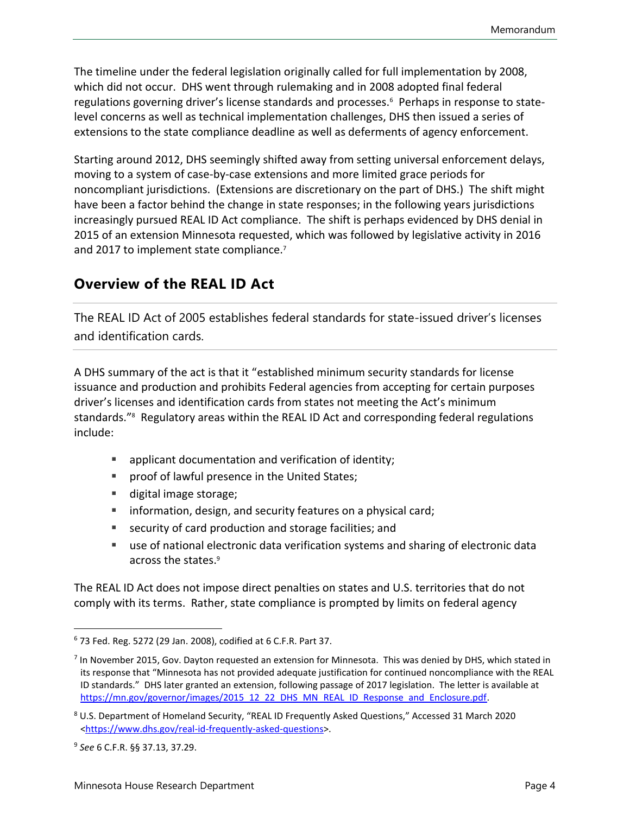The timeline under the federal legislation originally called for full implementation by 2008, which did not occur. DHS went through rulemaking and in 2008 adopted final federal regulations governing driver's license standards and processes.<sup>6</sup> Perhaps in response to statelevel concerns as well as technical implementation challenges, DHS then issued a series of extensions to the state compliance deadline as well as deferments of agency enforcement.

Starting around 2012, DHS seemingly shifted away from setting universal enforcement delays, moving to a system of case-by-case extensions and more limited grace periods for noncompliant jurisdictions. (Extensions are discretionary on the part of DHS.) The shift might have been a factor behind the change in state responses; in the following years jurisdictions increasingly pursued REAL ID Act compliance. The shift is perhaps evidenced by DHS denial in 2015 of an extension Minnesota requested, which was followed by legislative activity in 2016 and 2017 to implement state compliance.<sup>7</sup>

# **Overview of the REAL ID Act**

The REAL ID Act of 2005 establishes federal standards for state-issued driver's licenses and identification cards.

A DHS summary of the act is that it "established minimum security standards for license issuance and production and prohibits Federal agencies from accepting for certain purposes driver's licenses and identification cards from states not meeting the Act's minimum standards."<sup>8</sup> Regulatory areas within the REAL ID Act and corresponding federal regulations include:

- **EXTED 20 I** applicant documentation and verification of identity;
- **proof of lawful presence in the United States;**
- digital image storage;
- **Information, design, and security features on a physical card;**
- security of card production and storage facilities; and
- use of national electronic data verification systems and sharing of electronic data across the states.<sup>9</sup>

The REAL ID Act does not impose direct penalties on states and U.S. territories that do not comply with its terms. Rather, state compliance is prompted by limits on federal agency

<sup>6</sup> 73 Fed. Reg. 5272 (29 Jan. 2008), codified at 6 C.F.R. Part 37.

 $^7$  In November 2015, Gov. Dayton requested an extension for Minnesota. This was denied by DHS, which stated in its response that "Minnesota has not provided adequate justification for continued noncompliance with the REAL ID standards." DHS later granted an extension, following passage of 2017 legislation. The letter is available at [https://mn.gov/governor/images/2015\\_12\\_22\\_DHS\\_MN\\_REAL\\_ID\\_Response\\_and\\_Enclosure.pdf.](https://mn.gov/governor/images/2015_12_22_DHS_MN_REAL_ID_Response_and_Enclosure.pdf)

<sup>8</sup> U.S. Department of Homeland Security, "REAL ID Frequently Asked Questions," Accessed 31 March 2020 [<https://www.dhs.gov/real-id-frequently-asked-questions>](https://www.dhs.gov/real-id-frequently-asked-questions).

<sup>9</sup> *See* 6 C.F.R. §§ 37.13, 37.29.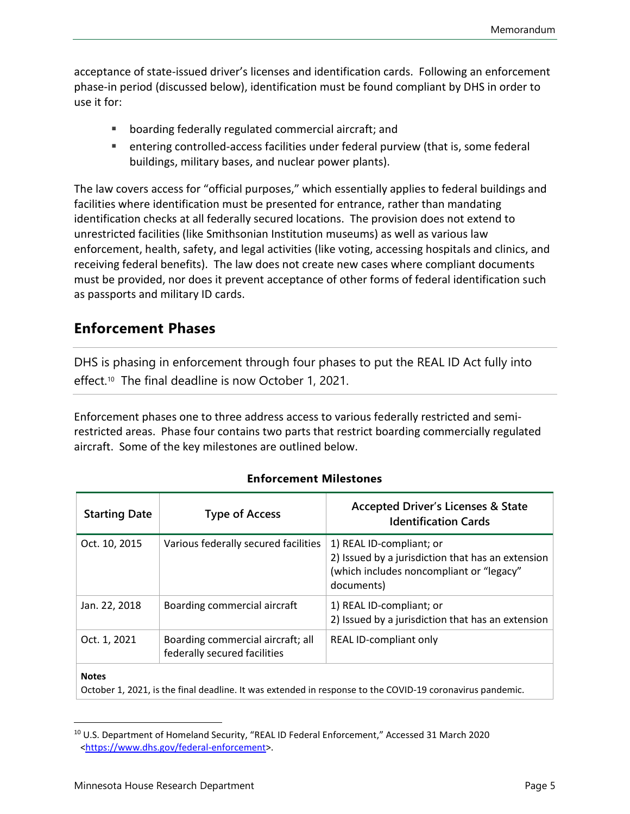acceptance of state-issued driver's licenses and identification cards. Following an enforcement phase-in period (discussed below), identification must be found compliant by DHS in order to use it for:

- boarding federally regulated commercial aircraft; and
- entering controlled-access facilities under federal purview (that is, some federal buildings, military bases, and nuclear power plants).

The law covers access for "official purposes," which essentially applies to federal buildings and facilities where identification must be presented for entrance, rather than mandating identification checks at all federally secured locations. The provision does not extend to unrestricted facilities (like Smithsonian Institution museums) as well as various law enforcement, health, safety, and legal activities (like voting, accessing hospitals and clinics, and receiving federal benefits). The law does not create new cases where compliant documents must be provided, nor does it prevent acceptance of other forms of federal identification such as passports and military ID cards.

# **Enforcement Phases**

DHS is phasing in enforcement through four phases to put the REAL ID Act fully into effect.<sup>10</sup> The final deadline is now October 1, 2021.

Enforcement phases one to three address access to various federally restricted and semirestricted areas. Phase four contains two parts that restrict boarding commercially regulated aircraft. Some of the key milestones are outlined below.

### **Enforcement Milestones**

| <b>Starting Date</b> | <b>Type of Access</b>                                             | <b>Accepted Driver's Licenses &amp; State</b><br><b>Identification Cards</b>                                                            |
|----------------------|-------------------------------------------------------------------|-----------------------------------------------------------------------------------------------------------------------------------------|
| Oct. 10, 2015        | Various federally secured facilities                              | 1) REAL ID-compliant; or<br>2) Issued by a jurisdiction that has an extension<br>(which includes noncompliant or "legacy"<br>documents) |
| Jan. 22, 2018        | Boarding commercial aircraft                                      | 1) REAL ID-compliant; or<br>2) Issued by a jurisdiction that has an extension                                                           |
| Oct. 1, 2021         | Boarding commercial aircraft; all<br>federally secured facilities | REAL ID-compliant only                                                                                                                  |
| <b>Notes</b>         |                                                                   | October 1, 2021, is the final deadline. It was extended in response to the COVID-19 coronavirus pandemic.                               |

<sup>&</sup>lt;sup>10</sup> U.S. Department of Homeland Security, "REAL ID Federal Enforcement," Accessed 31 March 2020 [<https://www.dhs.gov/federal-enforcement>](https://www.dhs.gov/federal-enforcement).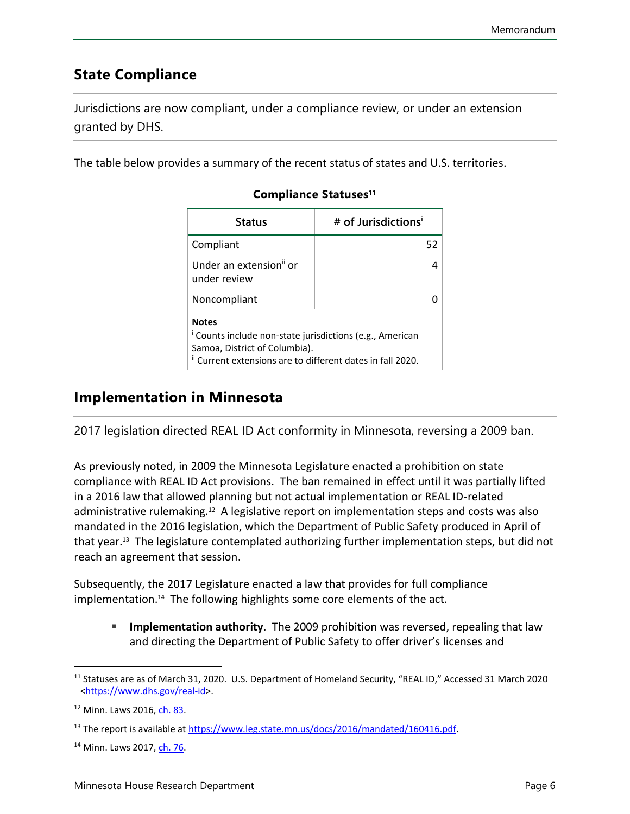### **State Compliance**

Jurisdictions are now compliant, under a compliance review, or under an extension granted by DHS.

The table below provides a summary of the recent status of states and U.S. territories.

| <b>Status</b>                                                                                                                                                        | # of Jurisdictions <sup>i</sup> |  |
|----------------------------------------------------------------------------------------------------------------------------------------------------------------------|---------------------------------|--|
| Compliant                                                                                                                                                            | 52                              |  |
| Under an extension" or<br>under review                                                                                                                               |                                 |  |
| Noncompliant                                                                                                                                                         |                                 |  |
| <b>Notes</b><br>Counts include non-state jurisdictions (e.g., American<br>Samoa, District of Columbia).<br>" Current extensions are to different dates in fall 2020. |                                 |  |

#### **Compliance Statuses<sup>11</sup>**

# **Implementation in Minnesota**

2017 legislation directed REAL ID Act conformity in Minnesota, reversing a 2009 ban.

As previously noted, in 2009 the Minnesota Legislature enacted a prohibition on state compliance with REAL ID Act provisions. The ban remained in effect until it was partially lifted in a 2016 law that allowed planning but not actual implementation or REAL ID-related administrative rulemaking.<sup>12</sup> A legislative report on implementation steps and costs was also mandated in the 2016 legislation, which the Department of Public Safety produced in April of that year.<sup>13</sup> The legislature contemplated authorizing further implementation steps, but did not reach an agreement that session.

Subsequently, the 2017 Legislature enacted a law that provides for full compliance implementation.<sup>14</sup> The following highlights some core elements of the act.

 **Implementation authority**. The 2009 prohibition was reversed, repealing that law and directing the Department of Public Safety to offer driver's licenses and

<sup>&</sup>lt;sup>11</sup> Statuses are as of March 31, 2020. U.S. Department of Homeland Security, "REAL ID," Accessed 31 March 2020 [<https://www.dhs.gov/real-id>](https://www.dhs.gov/real-id).

<sup>&</sup>lt;sup>12</sup> Minn. Laws 2016, [ch. 83.](https://www.revisor.mn.gov/laws/2016/0/Session+Law/Chapter/83/)

<sup>&</sup>lt;sup>13</sup> The report is available at [https://www.leg.state.mn.us/docs/2016/mandated/160416.pdf.](https://www.leg.state.mn.us/docs/2016/mandated/160416.pdf)

<sup>&</sup>lt;sup>14</sup> Minn. Laws 2017, [ch. 76.](https://www.revisor.mn.gov/laws/2017/0/Session+Law/Chapter/76/)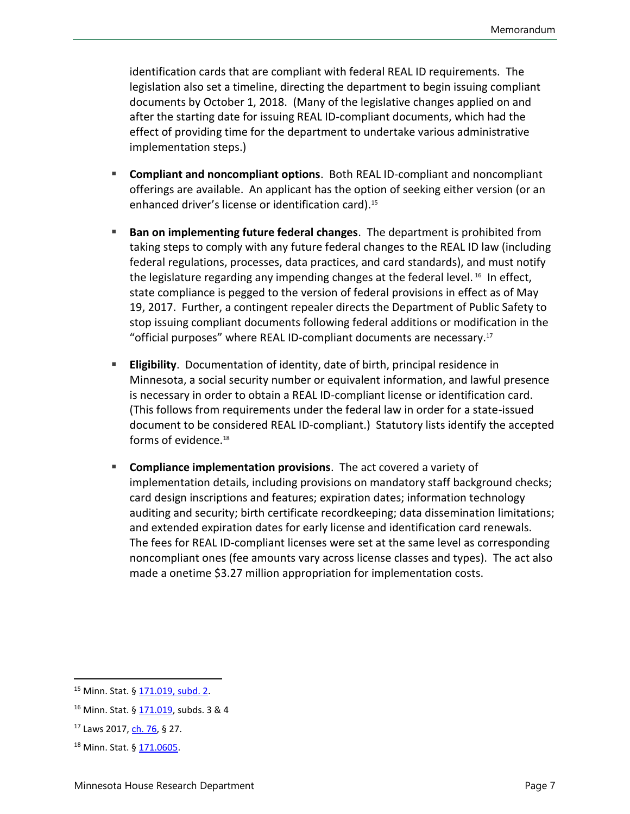identification cards that are compliant with federal REAL ID requirements. The legislation also set a timeline, directing the department to begin issuing compliant documents by October 1, 2018. (Many of the legislative changes applied on and after the starting date for issuing REAL ID-compliant documents, which had the effect of providing time for the department to undertake various administrative implementation steps.)

- **Compliant and noncompliant options**. Both REAL ID-compliant and noncompliant offerings are available. An applicant has the option of seeking either version (or an enhanced driver's license or identification card).<sup>15</sup>
- **Ban on implementing future federal changes**. The department is prohibited from taking steps to comply with any future federal changes to the REAL ID law (including federal regulations, processes, data practices, and card standards), and must notify the legislature regarding any impending changes at the federal level.  $16$  In effect, state compliance is pegged to the version of federal provisions in effect as of May 19, 2017. Further, a contingent repealer directs the Department of Public Safety to stop issuing compliant documents following federal additions or modification in the "official purposes" where REAL ID-compliant documents are necessary.<sup>17</sup>
- **Eligibility**. Documentation of identity, date of birth, principal residence in Minnesota, a social security number or equivalent information, and lawful presence is necessary in order to obtain a REAL ID-compliant license or identification card. (This follows from requirements under the federal law in order for a state-issued document to be considered REAL ID-compliant.) Statutory lists identify the accepted forms of evidence.<sup>18</sup>
- **Compliance implementation provisions**. The act covered a variety of implementation details, including provisions on mandatory staff background checks; card design inscriptions and features; expiration dates; information technology auditing and security; birth certificate recordkeeping; data dissemination limitations; and extended expiration dates for early license and identification card renewals. The fees for REAL ID-compliant licenses were set at the same level as corresponding noncompliant ones (fee amounts vary across license classes and types). The act also made a onetime \$3.27 million appropriation for implementation costs.

<sup>15</sup> Minn. Stat. § [171.019, subd. 2.](https://www.revisor.mn.gov/statutes/cite/171.019#stat.171.019.2)

<sup>&</sup>lt;sup>16</sup> Minn. Stat. § [171.019,](https://www.revisor.mn.gov/statutes/cite/171.019) subds. 3 & 4

<sup>17</sup> Laws 2017, [ch. 76,](https://www.revisor.mn.gov/laws/2017/0/Session+Law/Chapter/76/) § 27.

<sup>18</sup> Minn. Stat. § [171.0605.](https://www.revisor.mn.gov/statutes/cite/171.0605)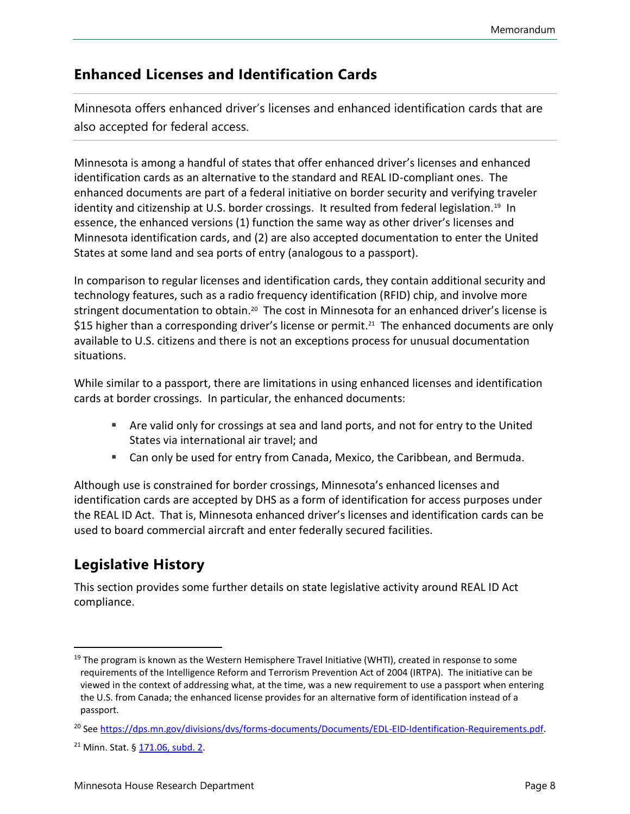### **Enhanced Licenses and Identification Cards**

Minnesota offers enhanced driver's licenses and enhanced identification cards that are also accepted for federal access.

Minnesota is among a handful of states that offer enhanced driver's licenses and enhanced identification cards as an alternative to the standard and REAL ID-compliant ones. The enhanced documents are part of a federal initiative on border security and verifying traveler identity and citizenship at U.S. border crossings. It resulted from federal legislation.<sup>19</sup> In essence, the enhanced versions (1) function the same way as other driver's licenses and Minnesota identification cards, and (2) are also accepted documentation to enter the United States at some land and sea ports of entry (analogous to a passport).

In comparison to regular licenses and identification cards, they contain additional security and technology features, such as a radio frequency identification (RFID) chip, and involve more stringent documentation to obtain.<sup>20</sup> The cost in Minnesota for an enhanced driver's license is \$15 higher than a corresponding driver's license or permit.<sup>21</sup> The enhanced documents are only available to U.S. citizens and there is not an exceptions process for unusual documentation situations.

While similar to a passport, there are limitations in using enhanced licenses and identification cards at border crossings. In particular, the enhanced documents:

- Are valid only for crossings at sea and land ports, and not for entry to the United States via international air travel; and
- Can only be used for entry from Canada, Mexico, the Caribbean, and Bermuda.

Although use is constrained for border crossings, Minnesota's enhanced licenses and identification cards are accepted by DHS as a form of identification for access purposes under the REAL ID Act. That is, Minnesota enhanced driver's licenses and identification cards can be used to board commercial aircraft and enter federally secured facilities.

# **Legislative History**

 $\overline{a}$ 

This section provides some further details on state legislative activity around REAL ID Act compliance.

 $19$  The program is known as the Western Hemisphere Travel Initiative (WHTI), created in response to some requirements of the Intelligence Reform and Terrorism Prevention Act of 2004 (IRTPA). The initiative can be viewed in the context of addressing what, at the time, was a new requirement to use a passport when entering the U.S. from Canada; the enhanced license provides for an alternative form of identification instead of a passport.

<sup>&</sup>lt;sup>20</sup> Se[e https://dps.mn.gov/divisions/dvs/forms-documents/Documents/EDL-EID-Identification-Requirements.pdf.](https://dps.mn.gov/divisions/dvs/forms-documents/Documents/EDL-EID-Identification-Requirements.pdf)

<sup>21</sup> Minn. Stat. § [171.06, subd. 2.](https://www.revisor.mn.gov/statutes/cite/171.06#stat.171.06.2)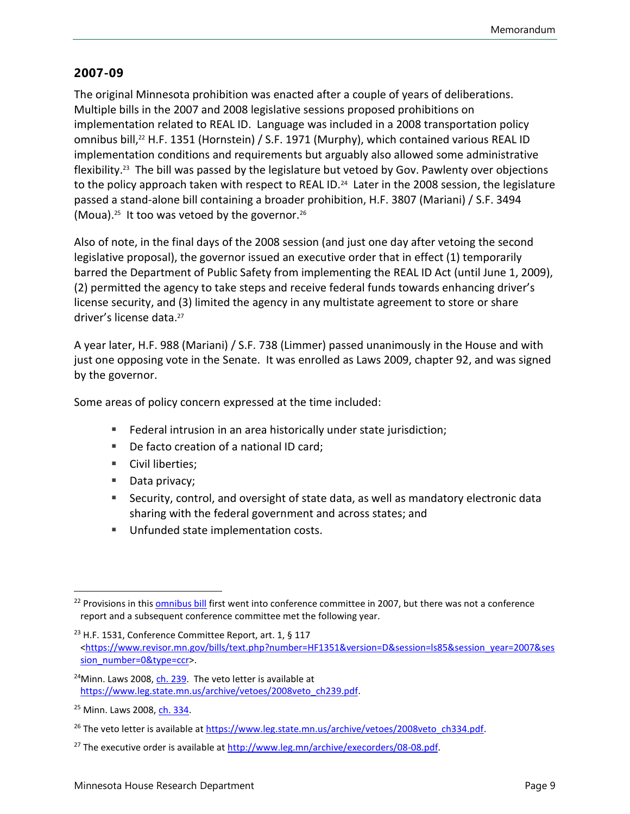### **2007-09**

The original Minnesota prohibition was enacted after a couple of years of deliberations. Multiple bills in the 2007 and 2008 legislative sessions proposed prohibitions on implementation related to REAL ID. Language was included in a 2008 transportation policy omnibus bill,<sup>22</sup> H.F. 1351 (Hornstein) / S.F. 1971 (Murphy), which contained various REAL ID implementation conditions and requirements but arguably also allowed some administrative flexibility.<sup>23</sup> The bill was passed by the legislature but vetoed by Gov. Pawlenty over objections to the policy approach taken with respect to REAL ID.<sup>24</sup> Later in the 2008 session, the legislature passed a stand-alone bill containing a broader prohibition, H.F. 3807 (Mariani) / S.F. 3494 (Moua).<sup>25</sup> It too was vetoed by the governor.<sup>26</sup>

Also of note, in the final days of the 2008 session (and just one day after vetoing the second legislative proposal), the governor issued an executive order that in effect (1) temporarily barred the Department of Public Safety from implementing the REAL ID Act (until June 1, 2009), (2) permitted the agency to take steps and receive federal funds towards enhancing driver's license security, and (3) limited the agency in any multistate agreement to store or share driver's license data.<sup>27</sup>

A year later, H.F. 988 (Mariani) / S.F. 738 (Limmer) passed unanimously in the House and with just one opposing vote in the Senate. It was enrolled as Laws 2009, chapter 92, and was signed by the governor.

Some areas of policy concern expressed at the time included:

- **Federal intrusion in an area historically under state jurisdiction;**
- De facto creation of a national ID card;
- Civil liberties:
- Data privacy;
- Security, control, and oversight of state data, as well as mandatory electronic data sharing with the federal government and across states; and
- **Unfunded state implementation costs.**

 $\overline{a}$ <sup>22</sup> Provisions in this [omnibus bill](https://www.revisor.mn.gov/bills/bill.php?b=house&f=HF1351&ssn=0&y=2007) first went into conference committee in 2007, but there was not a conference report and a subsequent conference committee met the following year.

<sup>&</sup>lt;sup>23</sup> H.F. 1531, Conference Committee Report, art. 1, § 117 [<https://www.revisor.mn.gov/bills/text.php?number=HF1351&version=D&session=ls85&session\\_year=2007&ses](https://www.revisor.mn.gov/bills/text.php?number=HF1351&version=D&session=ls85&session_year=2007&session_number=0&type=ccr) [sion\\_number=0&type=ccr>](https://www.revisor.mn.gov/bills/text.php?number=HF1351&version=D&session=ls85&session_year=2007&session_number=0&type=ccr).

 $24$ Minn. Laws 2008, [ch. 239.](https://www.revisor.mn.gov/laws/2008/0/Session+Law/Chapter/239/) The veto letter is available at [https://www.leg.state.mn.us/archive/vetoes/2008veto\\_ch239.pdf.](https://www.leg.state.mn.us/archive/vetoes/2008veto_ch239.pdf)

<sup>25</sup> Minn. Laws 2008, [ch. 334.](https://www.revisor.mn.gov/laws/2008/0/Session+Law/Chapter/334/)

<sup>&</sup>lt;sup>26</sup> The veto letter is available at [https://www.leg.state.mn.us/archive/vetoes/2008veto\\_ch334.pdf.](https://www.leg.state.mn.us/archive/vetoes/2008veto_ch334.pdf)

 $27$  The executive order is available at [http://www.leg.mn/archive/execorders/08-08.pdf.](http://www.leg.mn/archive/execorders/08-08.pdf)